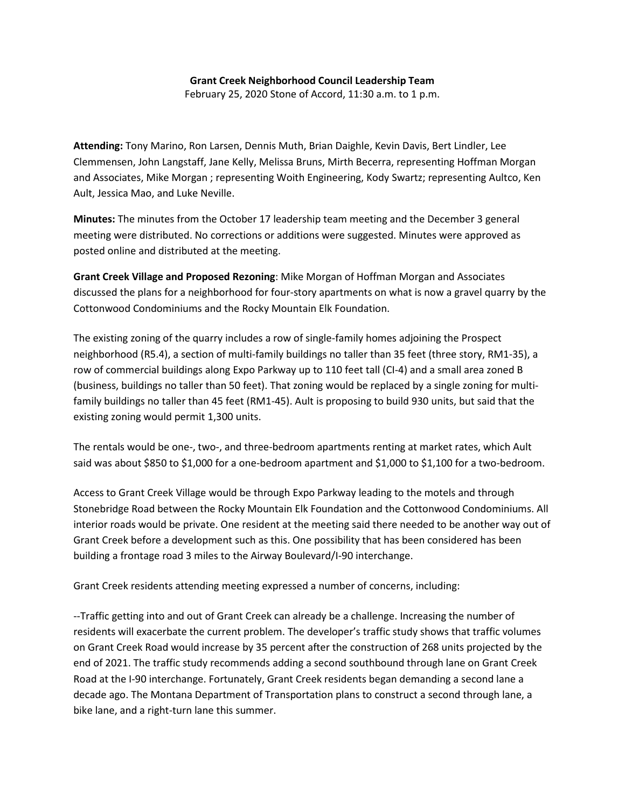## **Grant Creek Neighborhood Council Leadership Team**

February 25, 2020 Stone of Accord, 11:30 a.m. to 1 p.m.

**Attending:** Tony Marino, Ron Larsen, Dennis Muth, Brian Daighle, Kevin Davis, Bert Lindler, Lee Clemmensen, John Langstaff, Jane Kelly, Melissa Bruns, Mirth Becerra, representing Hoffman Morgan and Associates, Mike Morgan ; representing Woith Engineering, Kody Swartz; representing Aultco, Ken Ault, Jessica Mao, and Luke Neville.

**Minutes:** The minutes from the October 17 leadership team meeting and the December 3 general meeting were distributed. No corrections or additions were suggested. Minutes were approved as posted online and distributed at the meeting.

**Grant Creek Village and Proposed Rezoning**: Mike Morgan of Hoffman Morgan and Associates discussed the plans for a neighborhood for four-story apartments on what is now a gravel quarry by the Cottonwood Condominiums and the Rocky Mountain Elk Foundation.

The existing zoning of the quarry includes a row of single-family homes adjoining the Prospect neighborhood (R5.4), a section of multi-family buildings no taller than 35 feet (three story, RM1-35), a row of commercial buildings along Expo Parkway up to 110 feet tall (CI-4) and a small area zoned B (business, buildings no taller than 50 feet). That zoning would be replaced by a single zoning for multifamily buildings no taller than 45 feet (RM1-45). Ault is proposing to build 930 units, but said that the existing zoning would permit 1,300 units.

The rentals would be one-, two-, and three-bedroom apartments renting at market rates, which Ault said was about \$850 to \$1,000 for a one-bedroom apartment and \$1,000 to \$1,100 for a two-bedroom.

Access to Grant Creek Village would be through Expo Parkway leading to the motels and through Stonebridge Road between the Rocky Mountain Elk Foundation and the Cottonwood Condominiums. All interior roads would be private. One resident at the meeting said there needed to be another way out of Grant Creek before a development such as this. One possibility that has been considered has been building a frontage road 3 miles to the Airway Boulevard/I-90 interchange.

Grant Creek residents attending meeting expressed a number of concerns, including:

--Traffic getting into and out of Grant Creek can already be a challenge. Increasing the number of residents will exacerbate the current problem. The developer's traffic study shows that traffic volumes on Grant Creek Road would increase by 35 percent after the construction of 268 units projected by the end of 2021. The traffic study recommends adding a second southbound through lane on Grant Creek Road at the I-90 interchange. Fortunately, Grant Creek residents began demanding a second lane a decade ago. The Montana Department of Transportation plans to construct a second through lane, a bike lane, and a right-turn lane this summer.